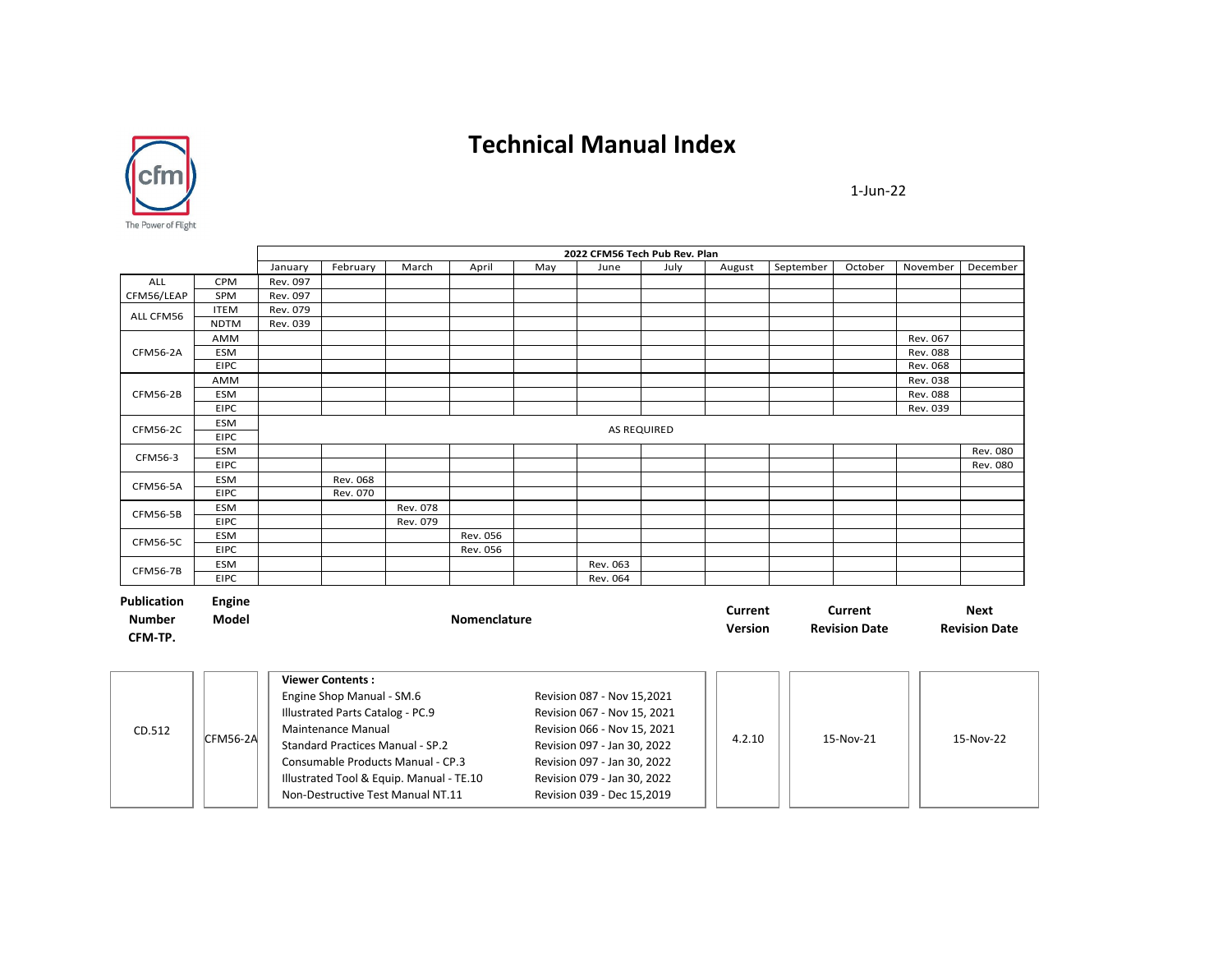

#### 1-Jun-22

|                    |               | 2022 CFM56 Tech Pub Rev. Plan           |                                                                         |          |              |     |                             |                             |                |           |                      |                 |                      |
|--------------------|---------------|-----------------------------------------|-------------------------------------------------------------------------|----------|--------------|-----|-----------------------------|-----------------------------|----------------|-----------|----------------------|-----------------|----------------------|
|                    |               | January                                 | February                                                                | March    | April        | May | June                        | July                        | August         | September | October              | November        | December             |
| ALL                | CPM           | Rev. 097                                |                                                                         |          |              |     |                             |                             |                |           |                      |                 |                      |
| CFM56/LEAP         | SPM           | Rev. 097                                |                                                                         |          |              |     |                             |                             |                |           |                      |                 |                      |
| ALL CFM56          | <b>ITEM</b>   | Rev. 079                                |                                                                         |          |              |     |                             |                             |                |           |                      |                 |                      |
|                    | <b>NDTM</b>   | Rev. 039                                |                                                                         |          |              |     |                             |                             |                |           |                      |                 |                      |
|                    | AMM           |                                         |                                                                         |          |              |     |                             |                             |                |           |                      | Rev. 067        |                      |
| <b>CFM56-2A</b>    | <b>ESM</b>    |                                         |                                                                         |          |              |     |                             |                             |                |           |                      | <b>Rev. 088</b> |                      |
|                    | <b>EIPC</b>   |                                         |                                                                         |          |              |     |                             |                             |                |           |                      | Rev. 068        |                      |
|                    | AMM           |                                         |                                                                         |          |              |     |                             |                             |                |           |                      | Rev. 038        |                      |
| <b>CFM56-2B</b>    | <b>ESM</b>    |                                         |                                                                         |          |              |     |                             |                             |                |           |                      | <b>Rev. 088</b> |                      |
|                    | <b>EIPC</b>   |                                         |                                                                         |          |              |     |                             |                             |                |           |                      | Rev. 039        |                      |
| <b>CFM56-2C</b>    | ESM           |                                         |                                                                         |          |              |     | <b>AS REQUIRED</b>          |                             |                |           |                      |                 |                      |
|                    | <b>EIPC</b>   |                                         |                                                                         |          |              |     |                             |                             |                |           |                      |                 |                      |
| CFM56-3            | <b>ESM</b>    |                                         |                                                                         |          |              |     |                             |                             |                |           |                      |                 | <b>Rev. 080</b>      |
|                    | <b>EIPC</b>   |                                         |                                                                         |          |              |     |                             |                             |                |           |                      |                 | Rev. 080             |
| <b>CFM56-5A</b>    | <b>ESM</b>    |                                         | <b>Rev. 068</b>                                                         |          |              |     |                             |                             |                |           |                      |                 |                      |
|                    | <b>EIPC</b>   |                                         | Rev. 070                                                                |          |              |     |                             |                             |                |           |                      |                 |                      |
| <b>CFM56-5B</b>    | ESM           |                                         |                                                                         | Rev. 078 |              |     |                             |                             |                |           |                      |                 |                      |
|                    | <b>EIPC</b>   |                                         |                                                                         | Rev. 079 |              |     |                             |                             |                |           |                      |                 |                      |
| <b>CFM56-5C</b>    | ESM           |                                         |                                                                         |          | Rev. 056     |     |                             |                             |                |           |                      |                 |                      |
|                    | <b>EIPC</b>   |                                         |                                                                         |          | Rev. 056     |     |                             |                             |                |           |                      |                 |                      |
| <b>CFM56-7B</b>    | <b>ESM</b>    |                                         |                                                                         |          |              |     | Rev. 063                    |                             |                |           |                      |                 |                      |
|                    | <b>EIPC</b>   |                                         |                                                                         |          |              |     | Rev. 064                    |                             |                |           |                      |                 |                      |
| <b>Publication</b> | <b>Engine</b> |                                         |                                                                         |          |              |     |                             |                             |                |           |                      |                 |                      |
| <b>Number</b>      | <b>Model</b>  |                                         |                                                                         |          | Nomenclature |     |                             |                             | <b>Current</b> |           | <b>Current</b>       |                 | <b>Next</b>          |
|                    |               |                                         |                                                                         |          |              |     |                             |                             | <b>Version</b> |           | <b>Revision Date</b> |                 | <b>Revision Date</b> |
| CFM-TP.            |               |                                         |                                                                         |          |              |     |                             |                             |                |           |                      |                 |                      |
|                    |               |                                         |                                                                         |          |              |     |                             |                             |                |           |                      |                 |                      |
|                    |               |                                         |                                                                         |          |              |     |                             |                             |                |           |                      |                 |                      |
|                    |               |                                         | <b>Viewer Contents:</b>                                                 |          |              |     |                             |                             |                |           |                      |                 |                      |
| CD.512             | $CFM56-2A$    |                                         | Engine Shop Manual - SM.6                                               |          |              |     | Revision 087 - Nov 15,2021  |                             |                |           |                      |                 |                      |
|                    |               |                                         | <b>Illustrated Parts Catalog - PC.9</b><br>Revision 067 - Nov 15, 2021  |          |              |     |                             |                             |                |           |                      |                 |                      |
|                    |               |                                         | Maintenance Manual                                                      |          |              |     |                             | Revision 066 - Nov 15, 2021 |                |           |                      |                 |                      |
|                    |               | <b>Standard Practices Manual - SP.2</b> |                                                                         |          |              |     | Revision 097 - Jan 30, 2022 |                             | 4.2.10         |           | 15-Nov-21            |                 | 15-Nov-22            |
|                    |               |                                         | Consumable Products Manual - CP.3<br>Revision 097 - Jan 30, 2022        |          |              |     |                             |                             |                |           |                      |                 |                      |
|                    |               |                                         | Illustrated Tool & Equip. Manual - TE.10<br>Revision 079 - Jan 30, 2022 |          |              |     |                             |                             |                |           |                      |                 |                      |
|                    |               |                                         |                                                                         |          |              |     |                             |                             |                |           |                      |                 |                      |
|                    |               |                                         | Non-Destructive Test Manual NT.11<br>Revision 039 - Dec 15,2019         |          |              |     |                             |                             |                |           |                      |                 |                      |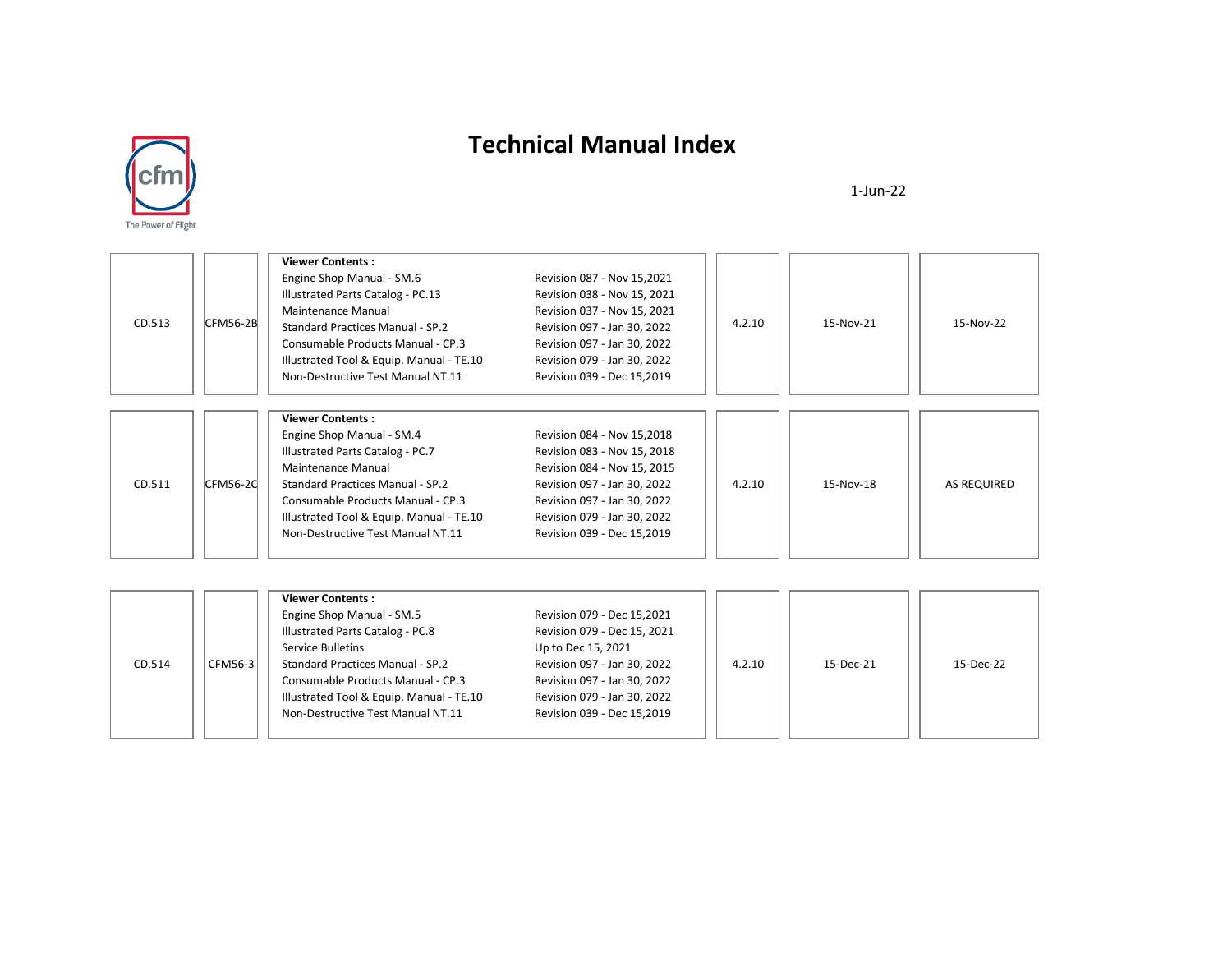

1-Jun-22

| CD.513 | CFM56-2B        | <b>Viewer Contents:</b><br>Engine Shop Manual - SM.6<br>Illustrated Parts Catalog - PC.13<br><b>Maintenance Manual</b><br><b>Standard Practices Manual - SP.2</b><br>Consumable Products Manual - CP.3<br>Illustrated Tool & Equip. Manual - TE.10<br>Non-Destructive Test Manual NT.11 | Revision 087 - Nov 15,2021<br>Revision 038 - Nov 15, 2021<br>Revision 037 - Nov 15, 2021<br>Revision 097 - Jan 30, 2022<br>Revision 097 - Jan 30, 2022<br>Revision 079 - Jan 30, 2022<br>Revision 039 - Dec 15,2019 | 4.2.10 | 15-Nov-21 | 15-Nov-22          |
|--------|-----------------|-----------------------------------------------------------------------------------------------------------------------------------------------------------------------------------------------------------------------------------------------------------------------------------------|---------------------------------------------------------------------------------------------------------------------------------------------------------------------------------------------------------------------|--------|-----------|--------------------|
| CD.511 | <b>CFM56-2C</b> | <b>Viewer Contents:</b><br>Engine Shop Manual - SM.4<br>Illustrated Parts Catalog - PC.7<br><b>Maintenance Manual</b><br><b>Standard Practices Manual - SP.2</b><br>Consumable Products Manual - CP.3<br>Illustrated Tool & Equip. Manual - TE.10<br>Non-Destructive Test Manual NT.11  | Revision 084 - Nov 15,2018<br>Revision 083 - Nov 15, 2018<br>Revision 084 - Nov 15, 2015<br>Revision 097 - Jan 30, 2022<br>Revision 097 - Jan 30, 2022<br>Revision 079 - Jan 30, 2022<br>Revision 039 - Dec 15,2019 | 4.2.10 | 15-Nov-18 | <b>AS REQUIRED</b> |
| CD.514 | CFM56-3         | <b>Viewer Contents:</b><br>Engine Shop Manual - SM.5<br>Illustrated Parts Catalog - PC.8<br><b>Service Bulletins</b><br><b>Standard Practices Manual - SP.2</b><br>Consumable Products Manual - CP.3<br>Illustrated Tool & Equip. Manual - TE.10<br>Non-Destructive Test Manual NT.11   | Revision 079 - Dec 15,2021<br>Revision 079 - Dec 15, 2021<br>Up to Dec 15, 2021<br>Revision 097 - Jan 30, 2022<br>Revision 097 - Jan 30, 2022<br>Revision 079 - Jan 30, 2022<br>Revision 039 - Dec 15,2019          | 4.2.10 | 15-Dec-21 | 15-Dec-22          |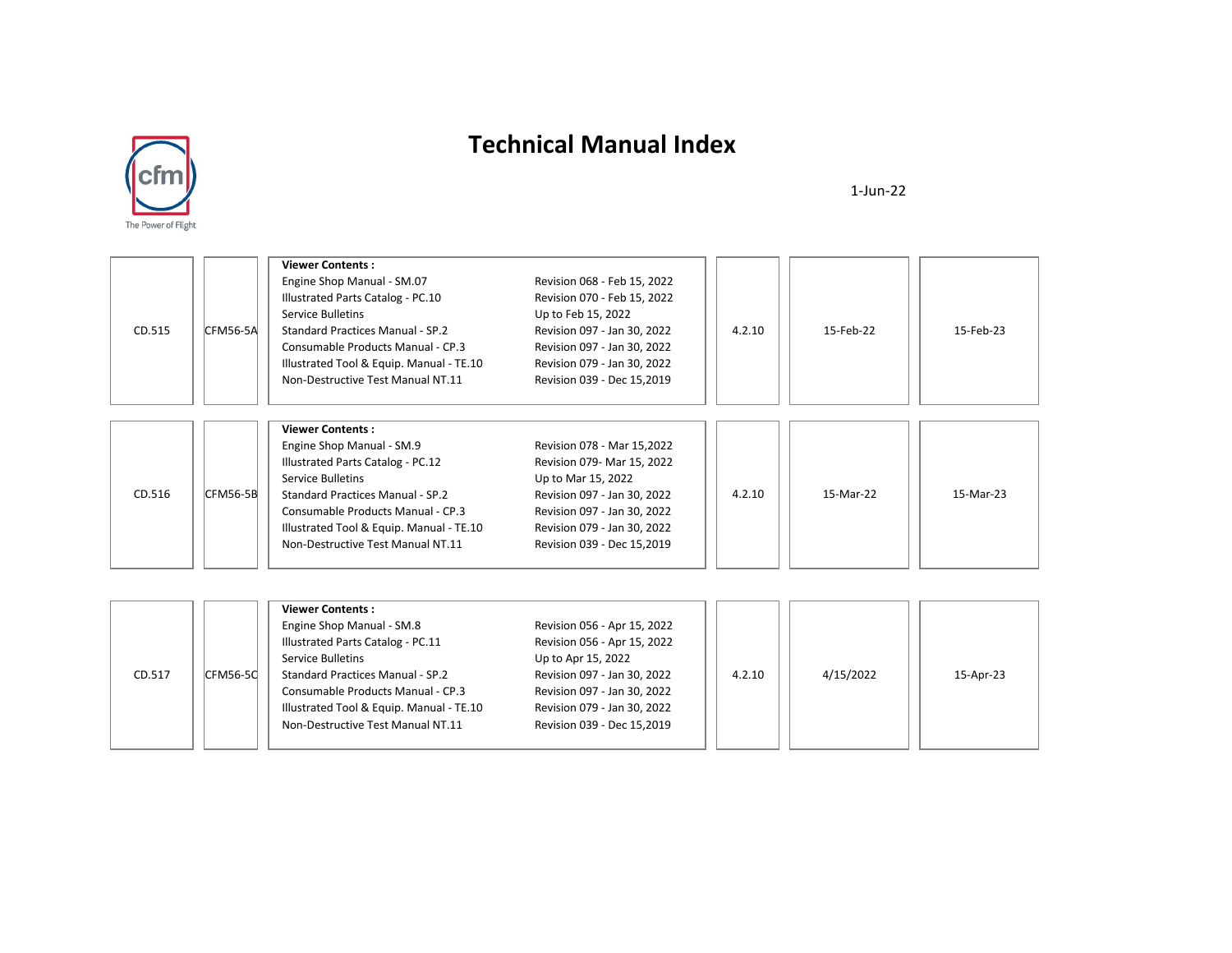

1-Jun-22

| CD.515 | CFM56-5A        | <b>Viewer Contents:</b><br>Engine Shop Manual - SM.07<br>Illustrated Parts Catalog - PC.10<br><b>Service Bulletins</b><br><b>Standard Practices Manual - SP.2</b><br>Consumable Products Manual - CP.3<br>Illustrated Tool & Equip. Manual - TE.10<br>Non-Destructive Test Manual NT.11 | Revision 068 - Feb 15, 2022<br>Revision 070 - Feb 15, 2022<br>Up to Feb 15, 2022<br>Revision 097 - Jan 30, 2022<br>Revision 097 - Jan 30, 2022<br>Revision 079 - Jan 30, 2022<br>Revision 039 - Dec 15,2019 | 4.2.10 | 15-Feb-22 | 15-Feb-23 |
|--------|-----------------|-----------------------------------------------------------------------------------------------------------------------------------------------------------------------------------------------------------------------------------------------------------------------------------------|-------------------------------------------------------------------------------------------------------------------------------------------------------------------------------------------------------------|--------|-----------|-----------|
| CD.516 | <b>CFM56-5B</b> | <b>Viewer Contents:</b><br>Engine Shop Manual - SM.9<br>Illustrated Parts Catalog - PC.12<br>Service Bulletins<br><b>Standard Practices Manual - SP.2</b><br>Consumable Products Manual - CP.3<br>Illustrated Tool & Equip. Manual - TE.10<br>Non-Destructive Test Manual NT.11         | Revision 078 - Mar 15,2022<br>Revision 079- Mar 15, 2022<br>Up to Mar 15, 2022<br>Revision 097 - Jan 30, 2022<br>Revision 097 - Jan 30, 2022<br>Revision 079 - Jan 30, 2022<br>Revision 039 - Dec 15,2019   | 4.2.10 | 15-Mar-22 | 15-Mar-23 |
|        |                 | <b>Viewer Contents:</b><br>Engine Shop Manual - SM.8<br>Illustrated Parts Catalog - PC.11                                                                                                                                                                                               | Revision 056 - Apr 15, 2022<br>Revision 056 - Apr 15, 2022                                                                                                                                                  |        |           |           |

CD.517 | CFM56-5C | Standard Practices Manual - SP.2 | Revision 097 - Jan 30, 2022 | | 4.2.10 | | 4/15/2022 | | 15-Apr-23

Service Bulletins Service Bulletins Contract Legislation Contract Up to Apr 15, 2022

Consumable Products Manual - CP.3 Revision 097 - Jan 30, 2022 Illustrated Tool & Equip. Manual - TE.10 Revision 079 - Jan 30, 2022 Non-Destructive Test Manual NT.11 Revision 039 - Dec 15,2019